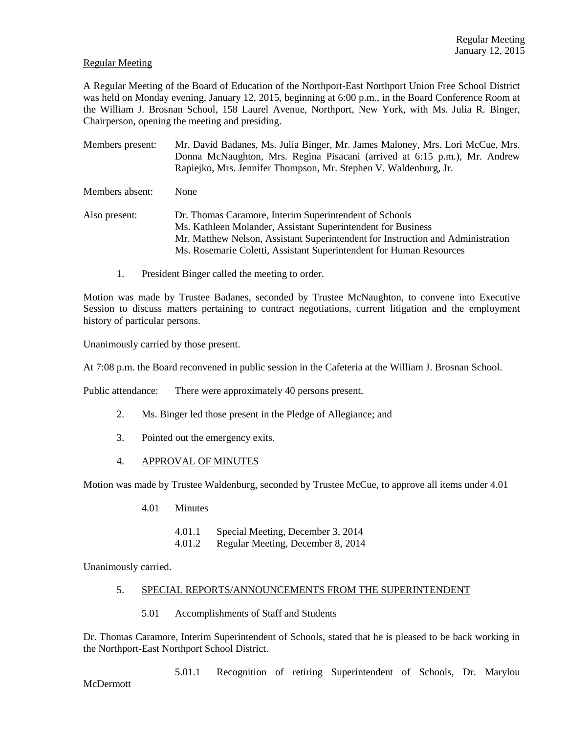## Regular Meeting

A Regular Meeting of the Board of Education of the Northport-East Northport Union Free School District was held on Monday evening, January 12, 2015, beginning at 6:00 p.m., in the Board Conference Room at the William J. Brosnan School, 158 Laurel Avenue, Northport, New York, with Ms. Julia R. Binger, Chairperson, opening the meeting and presiding.

Members present: Mr. David Badanes, Ms. Julia Binger, Mr. James Maloney, Mrs. Lori McCue, Mrs. Donna McNaughton, Mrs. Regina Pisacani (arrived at 6:15 p.m.), Mr. Andrew Rapiejko, Mrs. Jennifer Thompson, Mr. Stephen V. Waldenburg, Jr.

Members absent: None

- Also present: Dr. Thomas Caramore, Interim Superintendent of Schools Ms. Kathleen Molander, Assistant Superintendent for Business Mr. Matthew Nelson, Assistant Superintendent for Instruction and Administration Ms. Rosemarie Coletti, Assistant Superintendent for Human Resources
	- 1. President Binger called the meeting to order.

Motion was made by Trustee Badanes, seconded by Trustee McNaughton, to convene into Executive Session to discuss matters pertaining to contract negotiations, current litigation and the employment history of particular persons.

Unanimously carried by those present.

At 7:08 p.m. the Board reconvened in public session in the Cafeteria at the William J. Brosnan School.

Public attendance: There were approximately 40 persons present.

- 2. Ms. Binger led those present in the Pledge of Allegiance; and
- 3. Pointed out the emergency exits.
- 4. APPROVAL OF MINUTES

Motion was made by Trustee Waldenburg, seconded by Trustee McCue, to approve all items under 4.01

- 4.01 Minutes
	- 4.01.1 Special Meeting, December 3, 2014
	- 4.01.2 Regular Meeting, December 8, 2014

Unanimously carried.

#### 5. SPECIAL REPORTS/ANNOUNCEMENTS FROM THE SUPERINTENDENT

5.01 Accomplishments of Staff and Students

Dr. Thomas Caramore, Interim Superintendent of Schools, stated that he is pleased to be back working in the Northport-East Northport School District.

5.01.1 Recognition of retiring Superintendent of Schools, Dr. Marylou

**McDermott**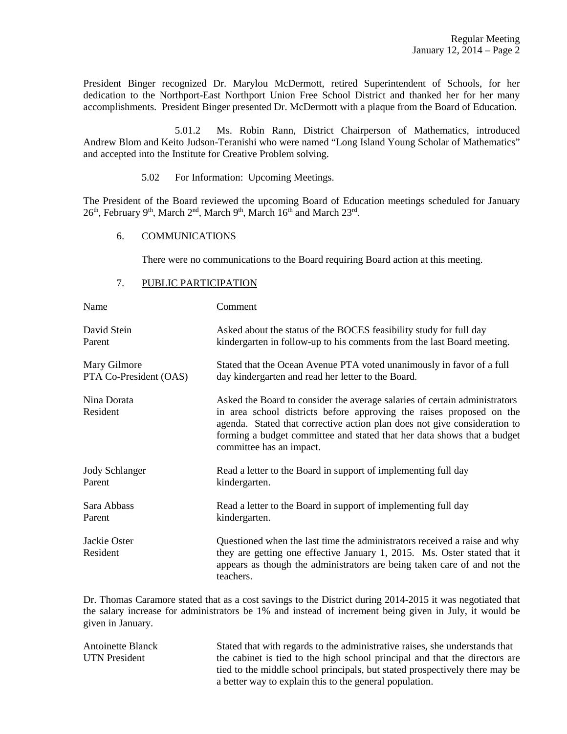President Binger recognized Dr. Marylou McDermott, retired Superintendent of Schools, for her dedication to the Northport-East Northport Union Free School District and thanked her for her many accomplishments. President Binger presented Dr. McDermott with a plaque from the Board of Education.

 5.01.2 Ms. Robin Rann, District Chairperson of Mathematics, introduced Andrew Blom and Keito Judson-Teranishi who were named "Long Island Young Scholar of Mathematics" and accepted into the Institute for Creative Problem solving.

5.02 For Information: Upcoming Meetings.

The President of the Board reviewed the upcoming Board of Education meetings scheduled for January 26<sup>th</sup>, February 9<sup>th</sup>, March 2<sup>nd</sup>, March 9<sup>th</sup>, March 16<sup>th</sup> and March 23<sup>rd</sup>.

### 6. COMMUNICATIONS

There were no communications to the Board requiring Board action at this meeting.

## 7. PUBLIC PARTICIPATION

| <b>Name</b>              | <b>Comment</b>                                                                                                                                                                                                                                                                                                                         |
|--------------------------|----------------------------------------------------------------------------------------------------------------------------------------------------------------------------------------------------------------------------------------------------------------------------------------------------------------------------------------|
| David Stein              | Asked about the status of the BOCES feasibility study for full day                                                                                                                                                                                                                                                                     |
| Parent                   | kindergarten in follow-up to his comments from the last Board meeting.                                                                                                                                                                                                                                                                 |
| Mary Gilmore             | Stated that the Ocean Avenue PTA voted unanimously in favor of a full                                                                                                                                                                                                                                                                  |
| PTA Co-President (OAS)   | day kindergarten and read her letter to the Board.                                                                                                                                                                                                                                                                                     |
| Nina Dorata<br>Resident  | Asked the Board to consider the average salaries of certain administrators<br>in area school districts before approving the raises proposed on the<br>agenda. Stated that corrective action plan does not give consideration to<br>forming a budget committee and stated that her data shows that a budget<br>committee has an impact. |
| <b>Jody Schlanger</b>    | Read a letter to the Board in support of implementing full day                                                                                                                                                                                                                                                                         |
| Parent                   | kindergarten.                                                                                                                                                                                                                                                                                                                          |
| Sara Abbass              | Read a letter to the Board in support of implementing full day                                                                                                                                                                                                                                                                         |
| Parent                   | kindergarten.                                                                                                                                                                                                                                                                                                                          |
| Jackie Oster<br>Resident | Questioned when the last time the administrators received a raise and why<br>they are getting one effective January 1, 2015. Ms. Oster stated that it<br>appears as though the administrators are being taken care of and not the<br>teachers.                                                                                         |

Dr. Thomas Caramore stated that as a cost savings to the District during 2014-2015 it was negotiated that the salary increase for administrators be 1% and instead of increment being given in July, it would be given in January.

Antoinette Blanck Stated that with regards to the administrative raises, she understands that UTN President the cabinet is tied to the high school principal and that the directors are tied to the middle school principals, but stated prospectively there may be a better way to explain this to the general population.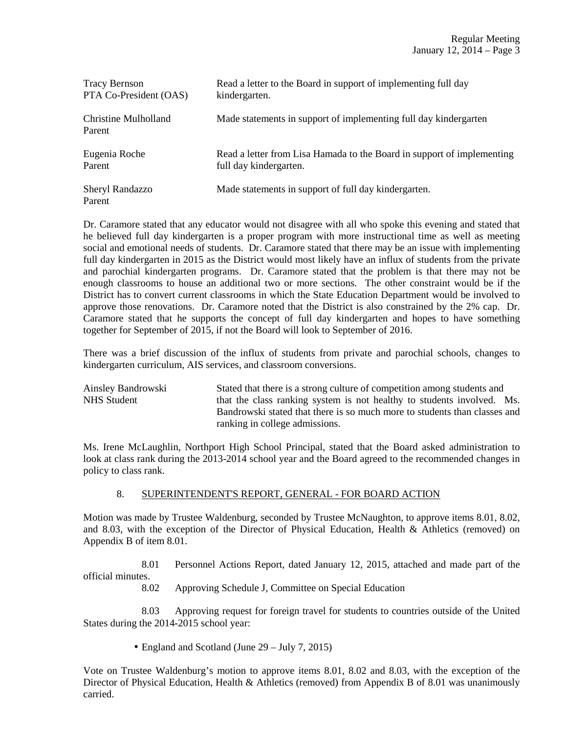| <b>Tracy Bernson</b>           | Read a letter to the Board in support of implementing full day         |
|--------------------------------|------------------------------------------------------------------------|
| PTA Co-President (OAS)         | kindergarten.                                                          |
| Christine Mulholland<br>Parent | Made statements in support of implementing full day kindergarten       |
| Eugenia Roche                  | Read a letter from Lisa Hamada to the Board in support of implementing |
| Parent                         | full day kindergarten.                                                 |
| Sheryl Randazzo<br>Parent      | Made statements in support of full day kindergarten.                   |

Dr. Caramore stated that any educator would not disagree with all who spoke this evening and stated that he believed full day kindergarten is a proper program with more instructional time as well as meeting social and emotional needs of students. Dr. Caramore stated that there may be an issue with implementing full day kindergarten in 2015 as the District would most likely have an influx of students from the private and parochial kindergarten programs. Dr. Caramore stated that the problem is that there may not be enough classrooms to house an additional two or more sections. The other constraint would be if the District has to convert current classrooms in which the State Education Department would be involved to approve those renovations. Dr. Caramore noted that the District is also constrained by the 2% cap. Dr. Caramore stated that he supports the concept of full day kindergarten and hopes to have something together for September of 2015, if not the Board will look to September of 2016.

There was a brief discussion of the influx of students from private and parochial schools, changes to kindergarten curriculum, AIS services, and classroom conversions.

Ainsley Bandrowski Stated that there is a strong culture of competition among students and NHS Student that the class ranking system is not healthy to students involved. Ms. Bandrowski stated that there is so much more to students than classes and ranking in college admissions.

Ms. Irene McLaughlin, Northport High School Principal, stated that the Board asked administration to look at class rank during the 2013-2014 school year and the Board agreed to the recommended changes in policy to class rank.

# 8. SUPERINTENDENT'S REPORT, GENERAL - FOR BOARD ACTION

Motion was made by Trustee Waldenburg, seconded by Trustee McNaughton, to approve items 8.01, 8.02, and 8.03, with the exception of the Director of Physical Education, Health & Athletics (removed) on Appendix B of item 8.01.

 8.01 Personnel Actions Report, dated January 12, 2015, attached and made part of the official minutes.

8.02 Approving Schedule J, Committee on Special Education

 8.03 Approving request for foreign travel for students to countries outside of the United States during the 2014-2015 school year:

• England and Scotland (June 29 – July 7, 2015)

Vote on Trustee Waldenburg's motion to approve items 8.01, 8.02 and 8.03, with the exception of the Director of Physical Education, Health & Athletics (removed) from Appendix B of 8.01 was unanimously carried.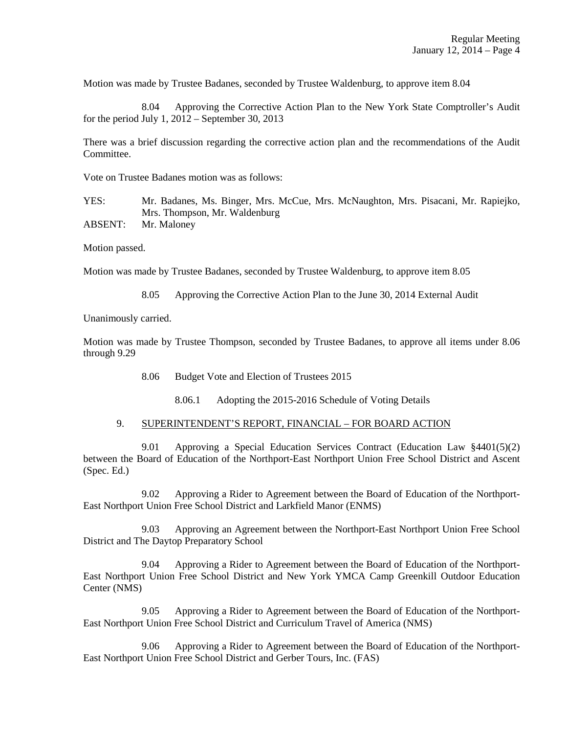Motion was made by Trustee Badanes, seconded by Trustee Waldenburg, to approve item 8.04

 8.04 Approving the Corrective Action Plan to the New York State Comptroller's Audit for the period July 1,  $2012$  – September 30, 2013

There was a brief discussion regarding the corrective action plan and the recommendations of the Audit Committee.

Vote on Trustee Badanes motion was as follows:

YES: Mr. Badanes, Ms. Binger, Mrs. McCue, Mrs. McNaughton, Mrs. Pisacani, Mr. Rapiejko, Mrs. Thompson, Mr. Waldenburg ABSENT: Mr. Maloney

Motion passed.

Motion was made by Trustee Badanes, seconded by Trustee Waldenburg, to approve item 8.05

8.05 Approving the Corrective Action Plan to the June 30, 2014 External Audit

Unanimously carried.

Motion was made by Trustee Thompson, seconded by Trustee Badanes, to approve all items under 8.06 through 9.29

8.06 Budget Vote and Election of Trustees 2015

8.06.1 Adopting the 2015-2016 Schedule of Voting Details

#### 9. SUPERINTENDENT'S REPORT, FINANCIAL – FOR BOARD ACTION

9.01 Approving a Special Education Services Contract (Education Law  $\S 4401(5)(2)$ ) between the Board of Education of the Northport-East Northport Union Free School District and Ascent (Spec. Ed.)

 9.02 Approving a Rider to Agreement between the Board of Education of the Northport-East Northport Union Free School District and Larkfield Manor (ENMS)

 9.03 Approving an Agreement between the Northport-East Northport Union Free School District and The Daytop Preparatory School

 9.04 Approving a Rider to Agreement between the Board of Education of the Northport-East Northport Union Free School District and New York YMCA Camp Greenkill Outdoor Education Center (NMS)

 9.05 Approving a Rider to Agreement between the Board of Education of the Northport-East Northport Union Free School District and Curriculum Travel of America (NMS)

 9.06 Approving a Rider to Agreement between the Board of Education of the Northport-East Northport Union Free School District and Gerber Tours, Inc. (FAS)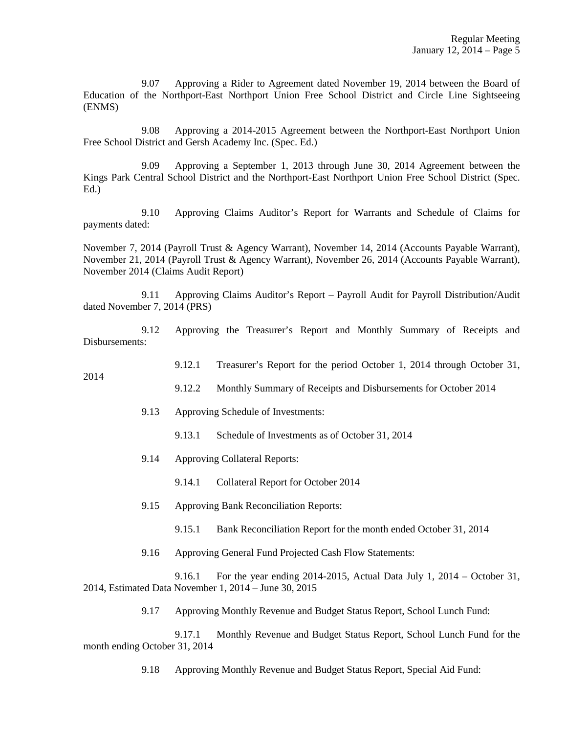9.07 Approving a Rider to Agreement dated November 19, 2014 between the Board of Education of the Northport-East Northport Union Free School District and Circle Line Sightseeing (ENMS)

 9.08 Approving a 2014-2015 Agreement between the Northport-East Northport Union Free School District and Gersh Academy Inc. (Spec. Ed.)

 9.09 Approving a September 1, 2013 through June 30, 2014 Agreement between the Kings Park Central School District and the Northport-East Northport Union Free School District (Spec. Ed.)

 9.10 Approving Claims Auditor's Report for Warrants and Schedule of Claims for payments dated:

November 7, 2014 (Payroll Trust & Agency Warrant), November 14, 2014 (Accounts Payable Warrant), November 21, 2014 (Payroll Trust & Agency Warrant), November 26, 2014 (Accounts Payable Warrant), November 2014 (Claims Audit Report)

 9.11 Approving Claims Auditor's Report – Payroll Audit for Payroll Distribution/Audit dated November 7, 2014 (PRS)

 9.12 Approving the Treasurer's Report and Monthly Summary of Receipts and Disbursements:

9.12.1 Treasurer's Report for the period October 1, 2014 through October 31,

- 9.12.2 Monthly Summary of Receipts and Disbursements for October 2014
- 9.13 Approving Schedule of Investments:
	- 9.13.1 Schedule of Investments as of October 31, 2014
- 9.14 Approving Collateral Reports:

2014

- 9.14.1 Collateral Report for October 2014
- 9.15 Approving Bank Reconciliation Reports:
	- 9.15.1 Bank Reconciliation Report for the month ended October 31, 2014
- 9.16 Approving General Fund Projected Cash Flow Statements:

 9.16.1 For the year ending 2014-2015, Actual Data July 1, 2014 – October 31, 2014, Estimated Data November 1, 2014 – June 30, 2015

9.17 Approving Monthly Revenue and Budget Status Report, School Lunch Fund:

 9.17.1 Monthly Revenue and Budget Status Report, School Lunch Fund for the month ending October 31, 2014

9.18 Approving Monthly Revenue and Budget Status Report, Special Aid Fund: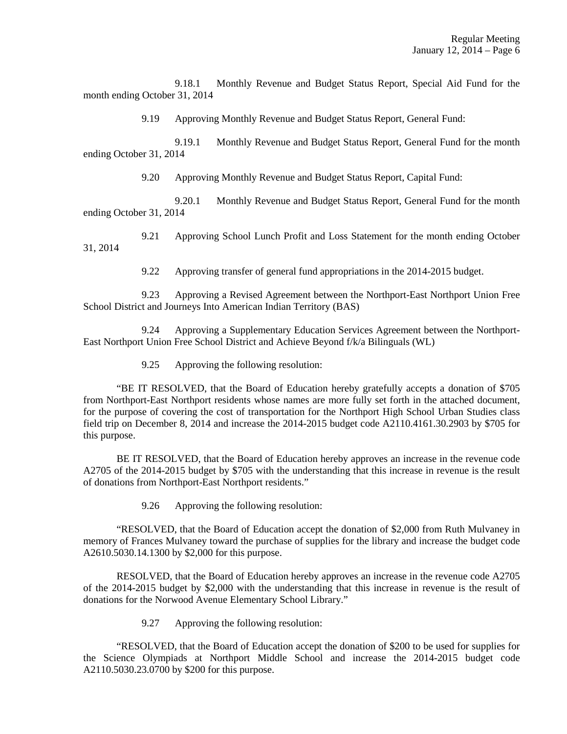9.18.1 Monthly Revenue and Budget Status Report, Special Aid Fund for the month ending October 31, 2014

9.19 Approving Monthly Revenue and Budget Status Report, General Fund:

9.19.1 Monthly Revenue and Budget Status Report, General Fund for the month ending October 31, 2014

9.20 Approving Monthly Revenue and Budget Status Report, Capital Fund:

 9.20.1 Monthly Revenue and Budget Status Report, General Fund for the month ending October 31, 2014

 9.21 Approving School Lunch Profit and Loss Statement for the month ending October 31, 2014

9.22 Approving transfer of general fund appropriations in the 2014-2015 budget.

 9.23 Approving a Revised Agreement between the Northport-East Northport Union Free School District and Journeys Into American Indian Territory (BAS)

 9.24 Approving a Supplementary Education Services Agreement between the Northport-East Northport Union Free School District and Achieve Beyond f/k/a Bilinguals (WL)

9.25 Approving the following resolution:

 "BE IT RESOLVED, that the Board of Education hereby gratefully accepts a donation of \$705 from Northport-East Northport residents whose names are more fully set forth in the attached document, for the purpose of covering the cost of transportation for the Northport High School Urban Studies class field trip on December 8, 2014 and increase the 2014-2015 budget code A2110.4161.30.2903 by \$705 for this purpose.

 BE IT RESOLVED, that the Board of Education hereby approves an increase in the revenue code A2705 of the 2014-2015 budget by \$705 with the understanding that this increase in revenue is the result of donations from Northport-East Northport residents."

9.26 Approving the following resolution:

 "RESOLVED, that the Board of Education accept the donation of \$2,000 from Ruth Mulvaney in memory of Frances Mulvaney toward the purchase of supplies for the library and increase the budget code A2610.5030.14.1300 by \$2,000 for this purpose.

 RESOLVED, that the Board of Education hereby approves an increase in the revenue code A2705 of the 2014-2015 budget by \$2,000 with the understanding that this increase in revenue is the result of donations for the Norwood Avenue Elementary School Library."

9.27 Approving the following resolution:

 "RESOLVED, that the Board of Education accept the donation of \$200 to be used for supplies for the Science Olympiads at Northport Middle School and increase the 2014-2015 budget code A2110.5030.23.0700 by \$200 for this purpose.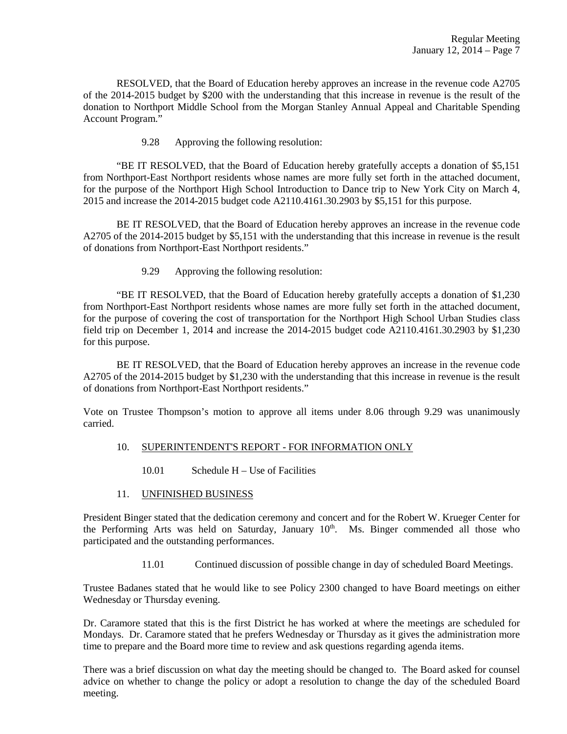RESOLVED, that the Board of Education hereby approves an increase in the revenue code A2705 of the 2014-2015 budget by \$200 with the understanding that this increase in revenue is the result of the donation to Northport Middle School from the Morgan Stanley Annual Appeal and Charitable Spending Account Program."

9.28 Approving the following resolution:

 "BE IT RESOLVED, that the Board of Education hereby gratefully accepts a donation of \$5,151 from Northport-East Northport residents whose names are more fully set forth in the attached document, for the purpose of the Northport High School Introduction to Dance trip to New York City on March 4, 2015 and increase the 2014-2015 budget code A2110.4161.30.2903 by \$5,151 for this purpose.

 BE IT RESOLVED, that the Board of Education hereby approves an increase in the revenue code A2705 of the 2014-2015 budget by \$5,151 with the understanding that this increase in revenue is the result of donations from Northport-East Northport residents."

9.29 Approving the following resolution:

 "BE IT RESOLVED, that the Board of Education hereby gratefully accepts a donation of \$1,230 from Northport-East Northport residents whose names are more fully set forth in the attached document, for the purpose of covering the cost of transportation for the Northport High School Urban Studies class field trip on December 1, 2014 and increase the 2014-2015 budget code A2110.4161.30.2903 by \$1,230 for this purpose.

 BE IT RESOLVED, that the Board of Education hereby approves an increase in the revenue code A2705 of the 2014-2015 budget by \$1,230 with the understanding that this increase in revenue is the result of donations from Northport-East Northport residents."

Vote on Trustee Thompson's motion to approve all items under 8.06 through 9.29 was unanimously carried.

# 10. SUPERINTENDENT'S REPORT - FOR INFORMATION ONLY

10.01 Schedule H – Use of Facilities

# 11. UNFINISHED BUSINESS

President Binger stated that the dedication ceremony and concert and for the Robert W. Krueger Center for the Performing Arts was held on Saturday, January 10<sup>th</sup>. Ms. Binger commended all those who participated and the outstanding performances.

11.01 Continued discussion of possible change in day of scheduled Board Meetings.

Trustee Badanes stated that he would like to see Policy 2300 changed to have Board meetings on either Wednesday or Thursday evening.

Dr. Caramore stated that this is the first District he has worked at where the meetings are scheduled for Mondays. Dr. Caramore stated that he prefers Wednesday or Thursday as it gives the administration more time to prepare and the Board more time to review and ask questions regarding agenda items.

There was a brief discussion on what day the meeting should be changed to. The Board asked for counsel advice on whether to change the policy or adopt a resolution to change the day of the scheduled Board meeting.